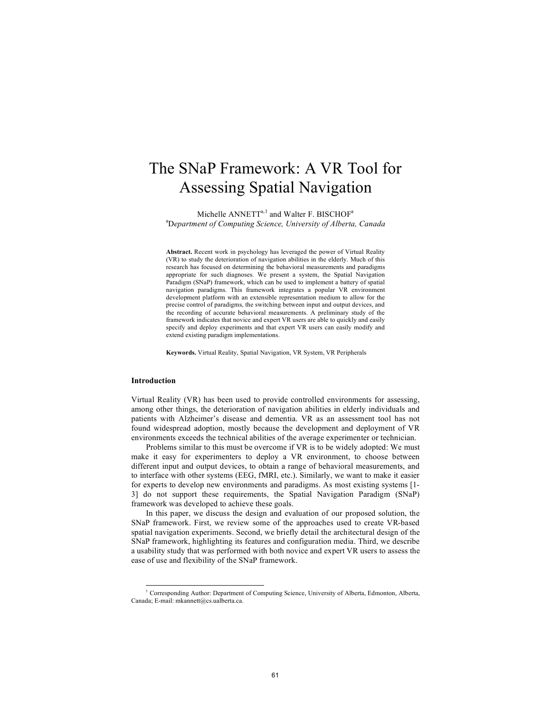# The SNaP Framework: A VR Tool for Assessing Spatial Navigation

Michelle  $ANNETT^{a,1}$  and Walter F. BISCHOF<sup>a</sup> a D*epartment of Computing Science, University of Alberta, Canada*

**Abstract.** Recent work in psychology has leveraged the power of Virtual Reality (VR) to study the deterioration of navigation abilities in the elderly. Much of this research has focused on determining the behavioral measurements and paradigms appropriate for such diagnoses. We present a system, the Spatial Navigation Paradigm (SNaP) framework, which can be used to implement a battery of spatial navigation paradigms. This framework integrates a popular VR environment development platform with an extensible representation medium to allow for the precise control of paradigms, the switching between input and output devices, and the recording of accurate behavioral measurements. A preliminary study of the framework indicates that novice and expert VR users are able to quickly and easily specify and deploy experiments and that expert VR users can easily modify and extend existing paradigm implementations.

**Keywords.** Virtual Reality, Spatial Navigation, VR System, VR Peripherals

## **Introduction**

Virtual Reality (VR) has been used to provide controlled environments for assessing, among other things, the deterioration of navigation abilities in elderly individuals and patients with Alzheimer's disease and dementia. VR as an assessment tool has not found widespread adoption, mostly because the development and deployment of VR environments exceeds the technical abilities of the average experimenter or technician.

Problems similar to this must be overcome if VR is to be widely adopted: We must make it easy for experimenters to deploy a VR environment, to choose between different input and output devices, to obtain a range of behavioral measurements, and to interface with other systems (EEG, fMRI, etc.). Similarly, we want to make it easier for experts to develop new environments and paradigms. As most existing systems [1- 3] do not support these requirements, the Spatial Navigation Paradigm (SNaP) framework was developed to achieve these goals.

In this paper, we discuss the design and evaluation of our proposed solution, the SNaP framework. First, we review some of the approaches used to create VR-based spatial navigation experiments. Second, we briefly detail the architectural design of the SNaP framework, highlighting its features and configuration media. Third, we describe a usability study that was performed with both novice and expert VR users to assess the ease of use and flexibility of the SNaP framework.

<sup>&</sup>lt;sup>1</sup> Corresponding Author: Department of Computing Science, University of Alberta, Edmonton, Alberta, Canada; E-mail: mkannett@cs.ualberta.ca.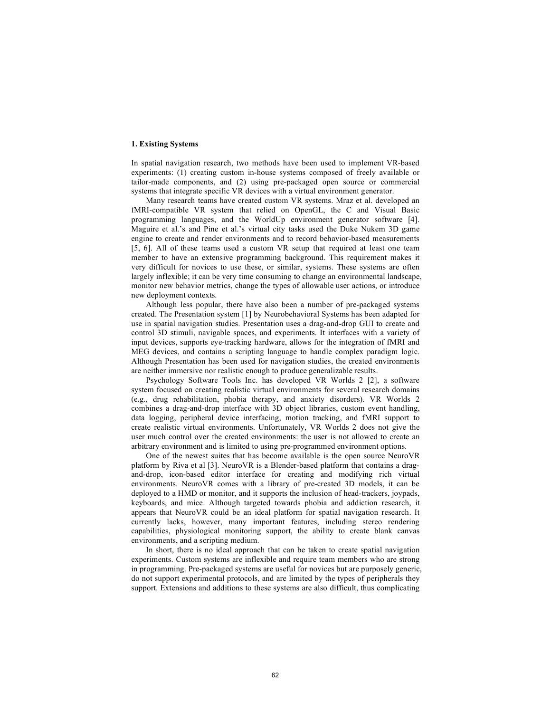# **1. Existing Systems**

In spatial navigation research, two methods have been used to implement VR-based experiments: (1) creating custom in-house systems composed of freely available or tailor-made components, and (2) using pre-packaged open source or commercial systems that integrate specific VR devices with a virtual environment generator.

Many research teams have created custom VR systems. Mraz et al. developed an fMRI-compatible VR system that relied on OpenGL, the C and Visual Basic programming languages, and the WorldUp environment generator software [4]. Maguire et al.'s and Pine et al.'s virtual city tasks used the Duke Nukem 3D game engine to create and render environments and to record behavior-based measurements [5, 6]. All of these teams used a custom VR setup that required at least one team member to have an extensive programming background. This requirement makes it very difficult for novices to use these, or similar, systems. These systems are often largely inflexible; it can be very time consuming to change an environmental landscape, monitor new behavior metrics, change the types of allowable user actions, or introduce new deployment contexts.

Although less popular, there have also been a number of pre-packaged systems created. The Presentation system [1] by Neurobehavioral Systems has been adapted for use in spatial navigation studies. Presentation uses a drag-and-drop GUI to create and control 3D stimuli, navigable spaces, and experiments. It interfaces with a variety of input devices, supports eye-tracking hardware, allows for the integration of fMRI and MEG devices, and contains a scripting language to handle complex paradigm logic. Although Presentation has been used for navigation studies, the created environments are neither immersive nor realistic enough to produce generalizable results.

Psychology Software Tools Inc. has developed VR Worlds 2 [2], a software system focused on creating realistic virtual environments for several research domains (e.g., drug rehabilitation, phobia therapy, and anxiety disorders). VR Worlds 2 combines a drag-and-drop interface with 3D object libraries, custom event handling, data logging, peripheral device interfacing, motion tracking, and fMRI support to create realistic virtual environments. Unfortunately, VR Worlds 2 does not give the user much control over the created environments: the user is not allowed to create an arbitrary environment and is limited to using pre-programmed environment options.

One of the newest suites that has become available is the open source NeuroVR platform by Riva et al [3]. NeuroVR is a Blender-based platform that contains a dragand-drop, icon-based editor interface for creating and modifying rich virtual environments. NeuroVR comes with a library of pre-created 3D models, it can be deployed to a HMD or monitor, and it supports the inclusion of head-trackers, joypads, keyboards, and mice. Although targeted towards phobia and addiction research, it appears that NeuroVR could be an ideal platform for spatial navigation research. It currently lacks, however, many important features, including stereo rendering capabilities, physiological monitoring support, the ability to create blank canvas environments, and a scripting medium.

In short, there is no ideal approach that can be taken to create spatial navigation experiments. Custom systems are inflexible and require team members who are strong in programming. Pre-packaged systems are useful for novices but are purposely generic, do not support experimental protocols, and are limited by the types of peripherals they support. Extensions and additions to these systems are also difficult, thus complicating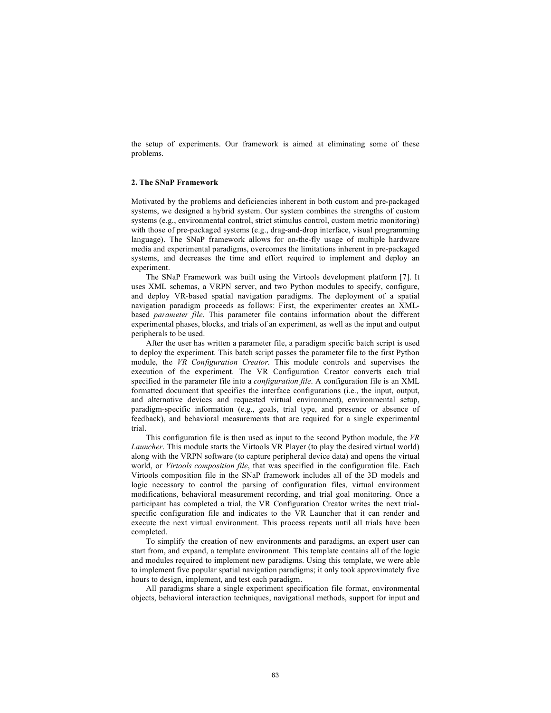the setup of experiments. Our framework is aimed at eliminating some of these problems.

#### **2. The SNaP Framework**

Motivated by the problems and deficiencies inherent in both custom and pre-packaged systems, we designed a hybrid system. Our system combines the strengths of custom systems (e.g., environmental control, strict stimulus control, custom metric monitoring) with those of pre-packaged systems (e.g., drag-and-drop interface, visual programming language). The SNaP framework allows for on-the-fly usage of multiple hardware media and experimental paradigms, overcomes the limitations inherent in pre-packaged systems, and decreases the time and effort required to implement and deploy an experiment.

The SNaP Framework was built using the Virtools development platform [7]. It uses XML schemas, a VRPN server, and two Python modules to specify, configure, and deploy VR-based spatial navigation paradigms. The deployment of a spatial navigation paradigm proceeds as follows: First, the experimenter creates an XMLbased *parameter file*. This parameter file contains information about the different experimental phases, blocks, and trials of an experiment, as well as the input and output peripherals to be used.

After the user has written a parameter file, a paradigm specific batch script is used to deploy the experiment. This batch script passes the parameter file to the first Python module, the *VR Configuration Creator*. This module controls and supervises the execution of the experiment. The VR Configuration Creator converts each trial specified in the parameter file into a *configuration file*. A configuration file is an XML formatted document that specifies the interface configurations (i.e., the input, output, and alternative devices and requested virtual environment), environmental setup, paradigm-specific information (e.g., goals, trial type, and presence or absence of feedback), and behavioral measurements that are required for a single experimental trial.

This configuration file is then used as input to the second Python module, the *VR Launcher*. This module starts the Virtools VR Player (to play the desired virtual world) along with the VRPN software (to capture peripheral device data) and opens the virtual world, or *Virtools composition file*, that was specified in the configuration file. Each Virtools composition file in the SNaP framework includes all of the 3D models and logic necessary to control the parsing of configuration files, virtual environment modifications, behavioral measurement recording, and trial goal monitoring. Once a participant has completed a trial, the VR Configuration Creator writes the next trialspecific configuration file and indicates to the VR Launcher that it can render and execute the next virtual environment. This process repeats until all trials have been completed.

To simplify the creation of new environments and paradigms, an expert user can start from, and expand, a template environment. This template contains all of the logic and modules required to implement new paradigms. Using this template, we were able to implement five popular spatial navigation paradigms; it only took approximately five hours to design, implement, and test each paradigm.

All paradigms share a single experiment specification file format, environmental objects, behavioral interaction techniques, navigational methods, support for input and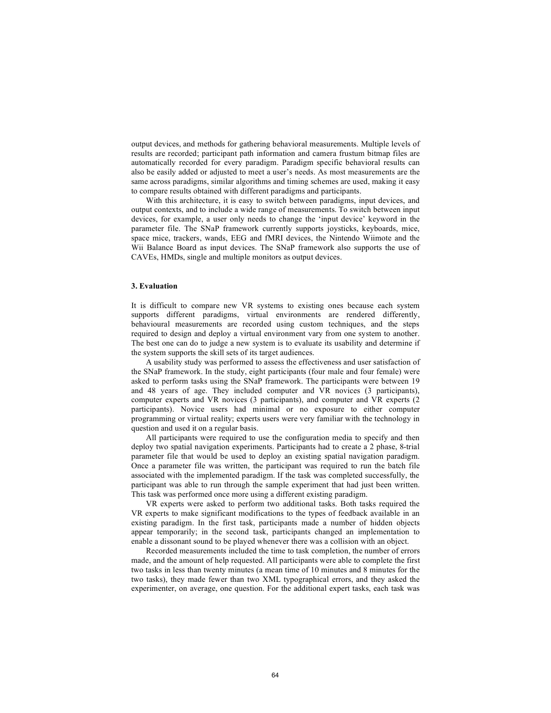output devices, and methods for gathering behavioral measurements. Multiple levels of results are recorded; participant path information and camera frustum bitmap files are automatically recorded for every paradigm. Paradigm specific behavioral results can also be easily added or adjusted to meet a user's needs. As most measurements are the same across paradigms, similar algorithms and timing schemes are used, making it easy to compare results obtained with different paradigms and participants.

With this architecture, it is easy to switch between paradigms, input devices, and output contexts, and to include a wide range of measurements. To switch between input devices, for example, a user only needs to change the 'input device' keyword in the parameter file. The SNaP framework currently supports joysticks, keyboards, mice, space mice, trackers, wands, EEG and fMRI devices, the Nintendo Wiimote and the Wii Balance Board as input devices. The SNaP framework also supports the use of CAVEs, HMDs, single and multiple monitors as output devices.

## **3. Evaluation**

It is difficult to compare new VR systems to existing ones because each system supports different paradigms, virtual environments are rendered differently, behavioural measurements are recorded using custom techniques, and the steps required to design and deploy a virtual environment vary from one system to another. The best one can do to judge a new system is to evaluate its usability and determine if the system supports the skill sets of its target audiences.

A usability study was performed to assess the effectiveness and user satisfaction of the SNaP framework. In the study, eight participants (four male and four female) were asked to perform tasks using the SNaP framework. The participants were between 19 and 48 years of age. They included computer and VR novices (3 participants), computer experts and VR novices (3 participants), and computer and VR experts (2 participants). Novice users had minimal or no exposure to either computer programming or virtual reality; experts users were very familiar with the technology in question and used it on a regular basis.

All participants were required to use the configuration media to specify and then deploy two spatial navigation experiments. Participants had to create a 2 phase, 8-trial parameter file that would be used to deploy an existing spatial navigation paradigm. Once a parameter file was written, the participant was required to run the batch file associated with the implemented paradigm. If the task was completed successfully, the participant was able to run through the sample experiment that had just been written. This task was performed once more using a different existing paradigm.

VR experts were asked to perform two additional tasks. Both tasks required the VR experts to make significant modifications to the types of feedback available in an existing paradigm. In the first task, participants made a number of hidden objects appear temporarily; in the second task, participants changed an implementation to enable a dissonant sound to be played whenever there was a collision with an object.

Recorded measurements included the time to task completion, the number of errors made, and the amount of help requested. All participants were able to complete the first two tasks in less than twenty minutes (a mean time of 10 minutes and 8 minutes for the two tasks), they made fewer than two XML typographical errors, and they asked the experimenter, on average, one question. For the additional expert tasks, each task was